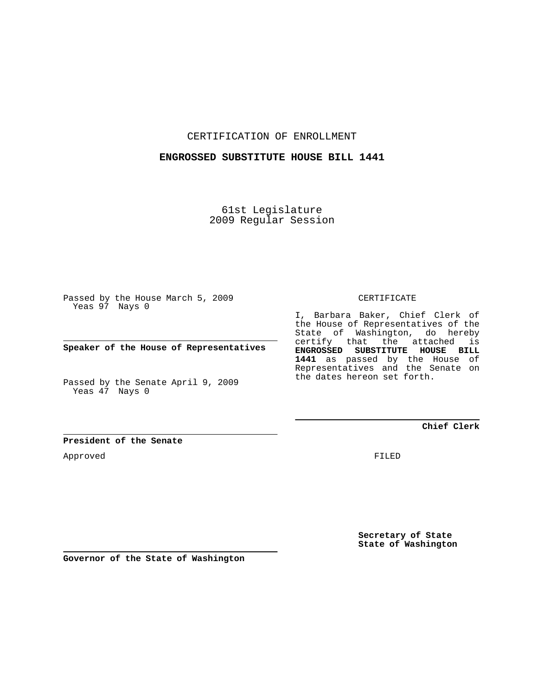CERTIFICATION OF ENROLLMENT

## **ENGROSSED SUBSTITUTE HOUSE BILL 1441**

61st Legislature 2009 Regular Session

Passed by the House March 5, 2009 Yeas 97 Nays 0

**Speaker of the House of Representatives**

Passed by the Senate April 9, 2009 Yeas 47 Nays 0

**President of the Senate**

Approved

CERTIFICATE

I, Barbara Baker, Chief Clerk of the House of Representatives of the State of Washington, do hereby certify that the attached is **ENGROSSED SUBSTITUTE HOUSE BILL 1441** as passed by the House of Representatives and the Senate on the dates hereon set forth.

**Chief Clerk**

FILED

**Secretary of State State of Washington**

**Governor of the State of Washington**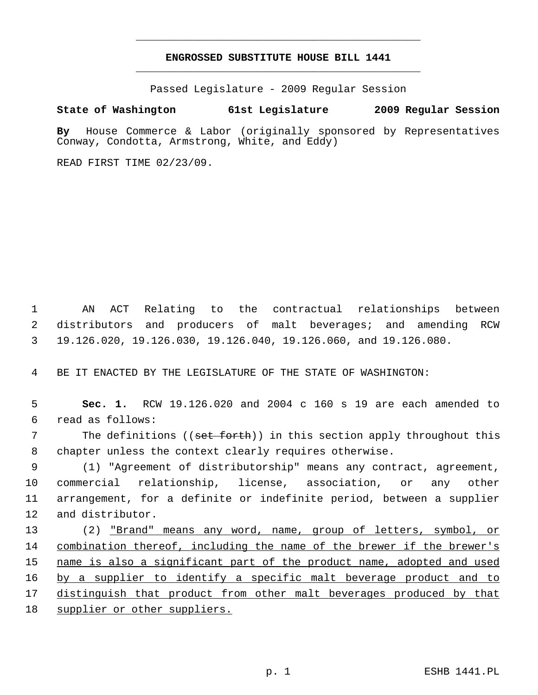## **ENGROSSED SUBSTITUTE HOUSE BILL 1441** \_\_\_\_\_\_\_\_\_\_\_\_\_\_\_\_\_\_\_\_\_\_\_\_\_\_\_\_\_\_\_\_\_\_\_\_\_\_\_\_\_\_\_\_\_

\_\_\_\_\_\_\_\_\_\_\_\_\_\_\_\_\_\_\_\_\_\_\_\_\_\_\_\_\_\_\_\_\_\_\_\_\_\_\_\_\_\_\_\_\_

Passed Legislature - 2009 Regular Session

## **State of Washington 61st Legislature 2009 Regular Session**

**By** House Commerce & Labor (originally sponsored by Representatives Conway, Condotta, Armstrong, White, and Eddy)

READ FIRST TIME 02/23/09.

 1 AN ACT Relating to the contractual relationships between 2 distributors and producers of malt beverages; and amending RCW 3 19.126.020, 19.126.030, 19.126.040, 19.126.060, and 19.126.080.

4 BE IT ENACTED BY THE LEGISLATURE OF THE STATE OF WASHINGTON:

 5 **Sec. 1.** RCW 19.126.020 and 2004 c 160 s 19 are each amended to 6 read as follows:

7 The definitions ((set forth)) in this section apply throughout this 8 chapter unless the context clearly requires otherwise.

 9 (1) "Agreement of distributorship" means any contract, agreement, 10 commercial relationship, license, association, or any other 11 arrangement, for a definite or indefinite period, between a supplier 12 and distributor.

13 (2) "Brand" means any word, name, group of letters, symbol, or 14 combination thereof, including the name of the brewer if the brewer's 15 name is also a significant part of the product name, adopted and used 16 by a supplier to identify a specific malt beverage product and to 17 distinguish that product from other malt beverages produced by that 18 supplier or other suppliers.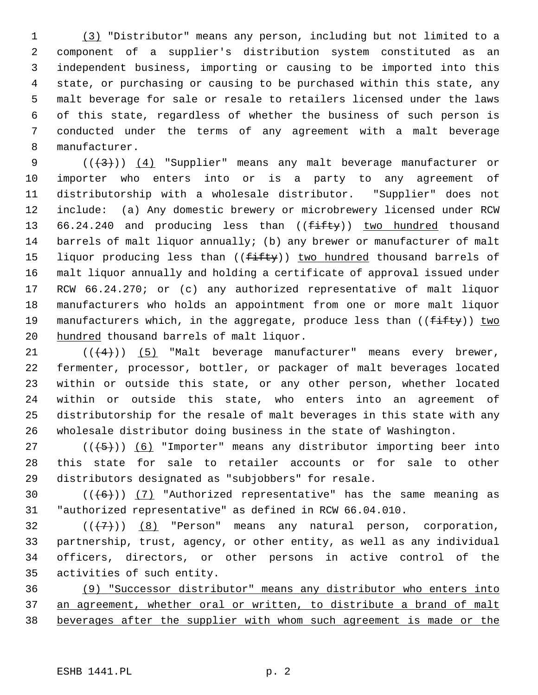1 (3) "Distributor" means any person, including but not limited to a 2 component of a supplier's distribution system constituted as an 3 independent business, importing or causing to be imported into this 4 state, or purchasing or causing to be purchased within this state, any 5 malt beverage for sale or resale to retailers licensed under the laws 6 of this state, regardless of whether the business of such person is 7 conducted under the terms of any agreement with a malt beverage 8 manufacturer.

9  $((+3))$   $(4)$  "Supplier" means any malt beverage manufacturer or 10 importer who enters into or is a party to any agreement of 11 distributorship with a wholesale distributor. "Supplier" does not 12 include: (a) Any domestic brewery or microbrewery licensed under RCW 13 66.24.240 and producing less than (( $f\text{-}ff\text{+}g$ )) two hundred thousand 14 barrels of malt liquor annually; (b) any brewer or manufacturer of malt 15 liquor producing less than ( $(f$ ifty)) two hundred thousand barrels of 16 malt liquor annually and holding a certificate of approval issued under 17 RCW 66.24.270; or (c) any authorized representative of malt liquor 18 manufacturers who holds an appointment from one or more malt liquor 19 manufacturers which, in the aggregate, produce less than  $((f\text{-}if\text{ty}))$  two 20 hundred thousand barrels of malt liquor.

21  $((+4))$  (5) "Malt beverage manufacturer" means every brewer, 22 fermenter, processor, bottler, or packager of malt beverages located 23 within or outside this state, or any other person, whether located 24 within or outside this state, who enters into an agreement of 25 distributorship for the resale of malt beverages in this state with any 26 wholesale distributor doing business in the state of Washington.

27 ( $(\frac{5}{6})$  (6) "Importer" means any distributor importing beer into 28 this state for sale to retailer accounts or for sale to other 29 distributors designated as "subjobbers" for resale.

30  $((+6))$  (7) "Authorized representative" has the same meaning as 31 "authorized representative" as defined in RCW 66.04.010.

32  $((+7)^{n})$  (8) "Person" means any natural person, corporation, 33 partnership, trust, agency, or other entity, as well as any individual 34 officers, directors, or other persons in active control of the 35 activities of such entity.

36 (9) "Successor distributor" means any distributor who enters into 37 an agreement, whether oral or written, to distribute a brand of malt 38 beverages after the supplier with whom such agreement is made or the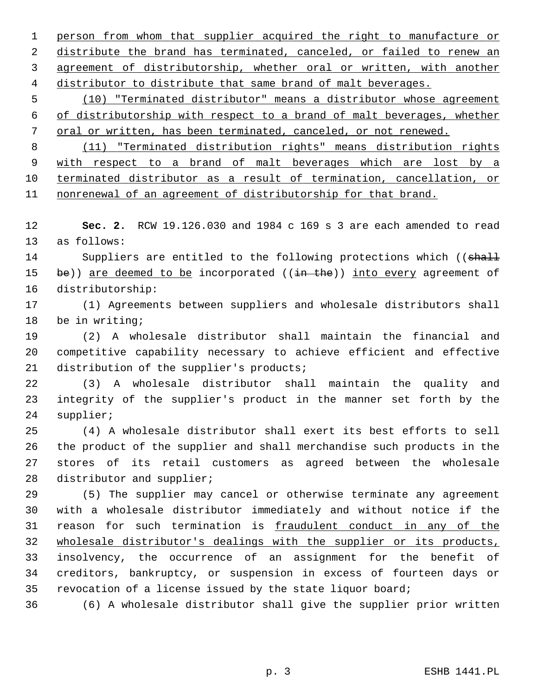person from whom that supplier acquired the right to manufacture or distribute the brand has terminated, canceled, or failed to renew an agreement of distributorship, whether oral or written, with another distributor to distribute that same brand of malt beverages.

 5 (10) "Terminated distributor" means a distributor whose agreement 6 of distributorship with respect to a brand of malt beverages, whether 7 oral or written, has been terminated, canceled, or not renewed.

 (11) "Terminated distribution rights" means distribution rights with respect to a brand of malt beverages which are lost by a terminated distributor as a result of termination, cancellation, or nonrenewal of an agreement of distributorship for that brand.

12 **Sec. 2.** RCW 19.126.030 and 1984 c 169 s 3 are each amended to read 13 as follows:

14 Suppliers are entitled to the following protections which ((shall 15 be)) are deemed to be incorporated  $((\frac{in}{in}$  the)) into every agreement of 16 distributorship:

17 (1) Agreements between suppliers and wholesale distributors shall 18 be in writing;

19 (2) A wholesale distributor shall maintain the financial and 20 competitive capability necessary to achieve efficient and effective 21 distribution of the supplier's products;

22 (3) A wholesale distributor shall maintain the quality and 23 integrity of the supplier's product in the manner set forth by the 24 supplier;

25 (4) A wholesale distributor shall exert its best efforts to sell 26 the product of the supplier and shall merchandise such products in the 27 stores of its retail customers as agreed between the wholesale 28 distributor and supplier;

29 (5) The supplier may cancel or otherwise terminate any agreement 30 with a wholesale distributor immediately and without notice if the 31 reason for such termination is fraudulent conduct in any of the 32 wholesale distributor's dealings with the supplier or its products, 33 insolvency, the occurrence of an assignment for the benefit of 34 creditors, bankruptcy, or suspension in excess of fourteen days or 35 revocation of a license issued by the state liquor board;

36 (6) A wholesale distributor shall give the supplier prior written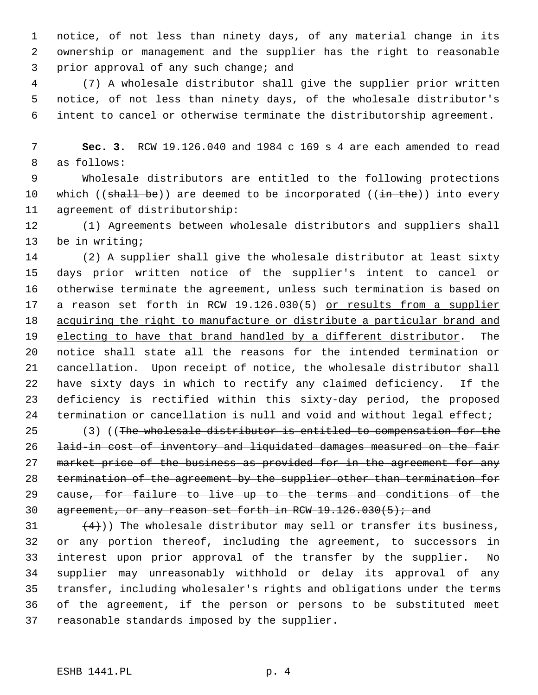1 notice, of not less than ninety days, of any material change in its 2 ownership or management and the supplier has the right to reasonable 3 prior approval of any such change; and

 4 (7) A wholesale distributor shall give the supplier prior written 5 notice, of not less than ninety days, of the wholesale distributor's 6 intent to cancel or otherwise terminate the distributorship agreement.

 7 **Sec. 3.** RCW 19.126.040 and 1984 c 169 s 4 are each amended to read 8 as follows:

 9 Wholesale distributors are entitled to the following protections 10 which  $((\text{shell} \text{ be}))$  are deemed to be incorporated  $((\text{in the}))$  into every 11 agreement of distributorship:

12 (1) Agreements between wholesale distributors and suppliers shall 13 be in writing;

14 (2) A supplier shall give the wholesale distributor at least sixty 15 days prior written notice of the supplier's intent to cancel or 16 otherwise terminate the agreement, unless such termination is based on 17 a reason set forth in RCW 19.126.030(5) or results from a supplier 18 acquiring the right to manufacture or distribute a particular brand and 19 electing to have that brand handled by a different distributor. The 20 notice shall state all the reasons for the intended termination or 21 cancellation. Upon receipt of notice, the wholesale distributor shall 22 have sixty days in which to rectify any claimed deficiency. If the 23 deficiency is rectified within this sixty-day period, the proposed 24 termination or cancellation is null and void and without legal effect;

25 (3) ((The wholesale distributor is entitled to compensation for the 26 laid-in cost of inventory and liquidated damages measured on the fair 27 market price of the business as provided for in the agreement for any 28 termination of the agreement by the supplier other than termination for 29 cause, for failure to live up to the terms and conditions of the 30 agreement, or any reason set forth in RCW  $19.126.030(5)$ ; and

31  $(4)$ )) The wholesale distributor may sell or transfer its business, 32 or any portion thereof, including the agreement, to successors in 33 interest upon prior approval of the transfer by the supplier. No 34 supplier may unreasonably withhold or delay its approval of any 35 transfer, including wholesaler's rights and obligations under the terms 36 of the agreement, if the person or persons to be substituted meet 37 reasonable standards imposed by the supplier.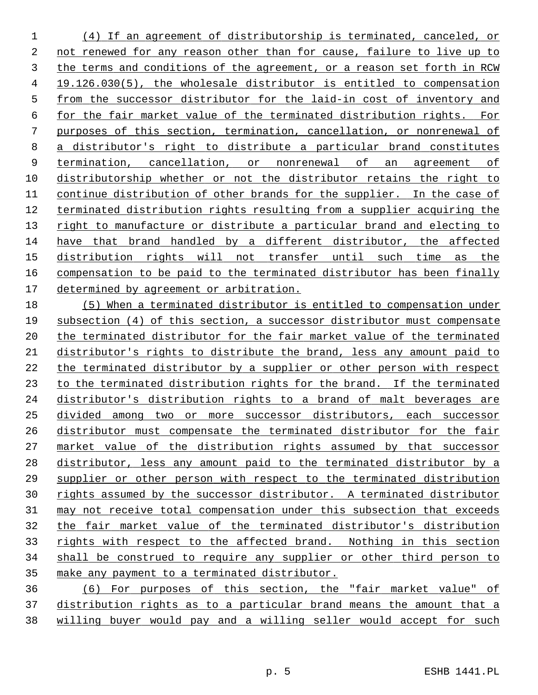(4) If an agreement of distributorship is terminated, canceled, or not renewed for any reason other than for cause, failure to live up to the terms and conditions of the agreement, or a reason set forth in RCW 19.126.030(5), the wholesale distributor is entitled to compensation from the successor distributor for the laid-in cost of inventory and for the fair market value of the terminated distribution rights. For purposes of this section, termination, cancellation, or nonrenewal of a distributor's right to distribute a particular brand constitutes termination, cancellation, or nonrenewal of an agreement of distributorship whether or not the distributor retains the right to continue distribution of other brands for the supplier. In the case of terminated distribution rights resulting from a supplier acquiring the right to manufacture or distribute a particular brand and electing to have that brand handled by a different distributor, the affected distribution rights will not transfer until such time as the compensation to be paid to the terminated distributor has been finally determined by agreement or arbitration.

 (5) When a terminated distributor is entitled to compensation under subsection (4) of this section, a successor distributor must compensate the terminated distributor for the fair market value of the terminated distributor's rights to distribute the brand, less any amount paid to the terminated distributor by a supplier or other person with respect 23 to the terminated distribution rights for the brand. If the terminated distributor's distribution rights to a brand of malt beverages are divided among two or more successor distributors, each successor distributor must compensate the terminated distributor for the fair market value of the distribution rights assumed by that successor distributor, less any amount paid to the terminated distributor by a supplier or other person with respect to the terminated distribution rights assumed by the successor distributor. A terminated distributor may not receive total compensation under this subsection that exceeds the fair market value of the terminated distributor's distribution 33 rights with respect to the affected brand. Nothing in this section shall be construed to require any supplier or other third person to make any payment to a terminated distributor.

 (6) For purposes of this section, the "fair market value" of distribution rights as to a particular brand means the amount that a willing buyer would pay and a willing seller would accept for such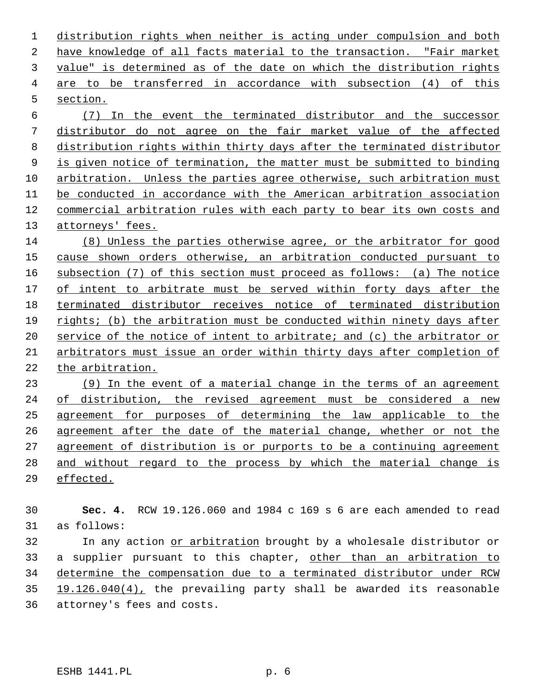distribution rights when neither is acting under compulsion and both have knowledge of all facts material to the transaction. "Fair market value" is determined as of the date on which the distribution rights are to be transferred in accordance with subsection (4) of this section.

 (7) In the event the terminated distributor and the successor distributor do not agree on the fair market value of the affected distribution rights within thirty days after the terminated distributor is given notice of termination, the matter must be submitted to binding arbitration. Unless the parties agree otherwise, such arbitration must be conducted in accordance with the American arbitration association commercial arbitration rules with each party to bear its own costs and attorneys' fees.

 (8) Unless the parties otherwise agree, or the arbitrator for good cause shown orders otherwise, an arbitration conducted pursuant to subsection (7) of this section must proceed as follows: (a) The notice of intent to arbitrate must be served within forty days after the terminated distributor receives notice of terminated distribution rights; (b) the arbitration must be conducted within ninety days after service of the notice of intent to arbitrate; and (c) the arbitrator or arbitrators must issue an order within thirty days after completion of the arbitration.

 (9) In the event of a material change in the terms of an agreement of distribution, the revised agreement must be considered a new agreement for purposes of determining the law applicable to the 26 agreement after the date of the material change, whether or not the agreement of distribution is or purports to be a continuing agreement and without regard to the process by which the material change is effected.

 **Sec. 4.** RCW 19.126.060 and 1984 c 169 s 6 are each amended to read 31 as follows: 32 In any action or arbitration brought by a wholesale distributor or 33 a supplier pursuant to this chapter, other than an arbitration to determine the compensation due to a terminated distributor under RCW 19.126.040(4), the prevailing party shall be awarded its reasonable

36 attorney's fees and costs.